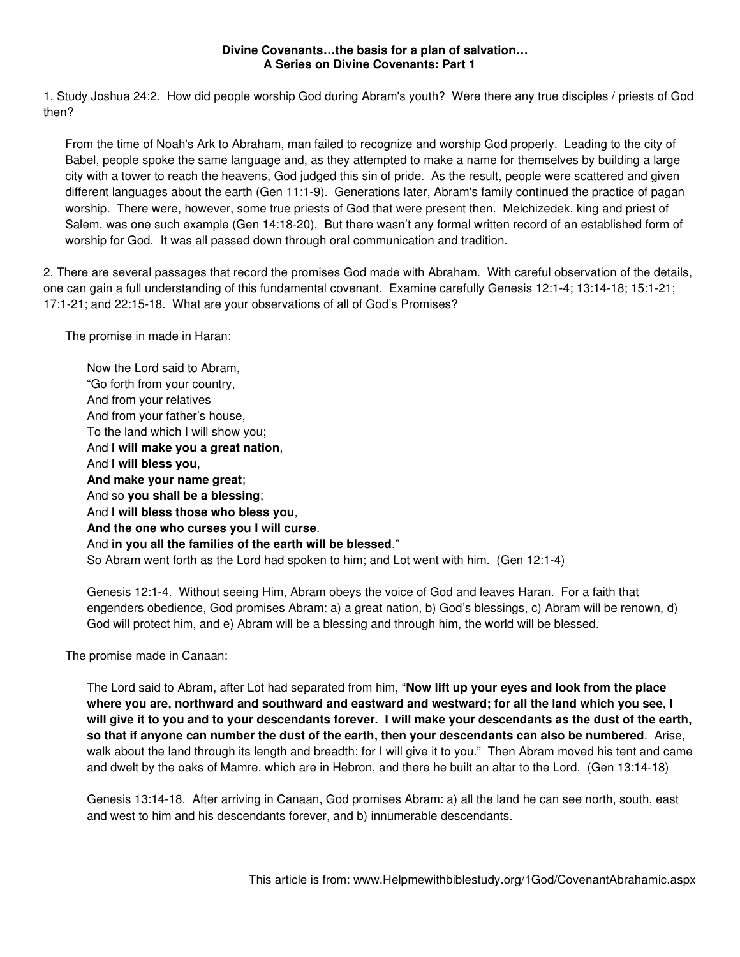#### **Divine Covenants…the basis for a plan of salvation… A Series on Divine Covenants: Part 1**

1. Study Joshua 24:2. How did people worship God during Abram's youth? Were there any true disciples / priests of God then?

From the time of Noah's Ark to Abraham, man failed to recognize and worship God properly. Leading to the city of Babel, people spoke the same language and, as they attempted to make a name for themselves by building a large city with a tower to reach the heavens, God judged this sin of pride. As the result, people were scattered and given different languages about the earth (Gen 11:1-9). Generations later, Abram's family continued the practice of pagan worship. There were, however, some true priests of God that were present then. Melchizedek, king and priest of Salem, was one such example (Gen 14:18-20). But there wasn't any formal written record of an established form of worship for God. It was all passed down through oral communication and tradition.

2. There are several passages that record the promises God made with Abraham. With careful observation of the details, one can gain a full understanding of this fundamental covenant. Examine carefully Genesis 12:1-4; 13:14-18; 15:1-21; 17:1-21; and 22:15-18. What are your observations of all of God's Promises?

The promise in made in Haran:

Now the Lord said to Abram, "Go forth from your country, And from your relatives And from your father's house, To the land which I will show you; And **I will make you a great nation**, And **I will bless you**, **And make your name great**; And so **you shall be a blessing**; And **I will bless those who bless you**, **And the one who curses you I will curse**. And **in you all the families of the earth will be blessed**." So Abram went forth as the Lord had spoken to him; and Lot went with him. (Gen 12:1-4)

Genesis 12:1-4. Without seeing Him, Abram obeys the voice of God and leaves Haran. For a faith that engenders obedience, God promises Abram: a) a great nation, b) God's blessings, c) Abram will be renown, d) God will protect him, and e) Abram will be a blessing and through him, the world will be blessed.

The promise made in Canaan:

The Lord said to Abram, after Lot had separated from him, "**Now lift up your eyes and look from the place where you are, northward and southward and eastward and westward; for all the land which you see, I will give it to you and to your descendants forever. I will make your descendants as the dust of the earth, so that if anyone can number the dust of the earth, then your descendants can also be numbered**. Arise, walk about the land through its length and breadth; for I will give it to you." Then Abram moved his tent and came and dwelt by the oaks of Mamre, which are in Hebron, and there he built an altar to the Lord. (Gen 13:14-18)

Genesis 13:14-18. After arriving in Canaan, God promises Abram: a) all the land he can see north, south, east and west to him and his descendants forever, and b) innumerable descendants.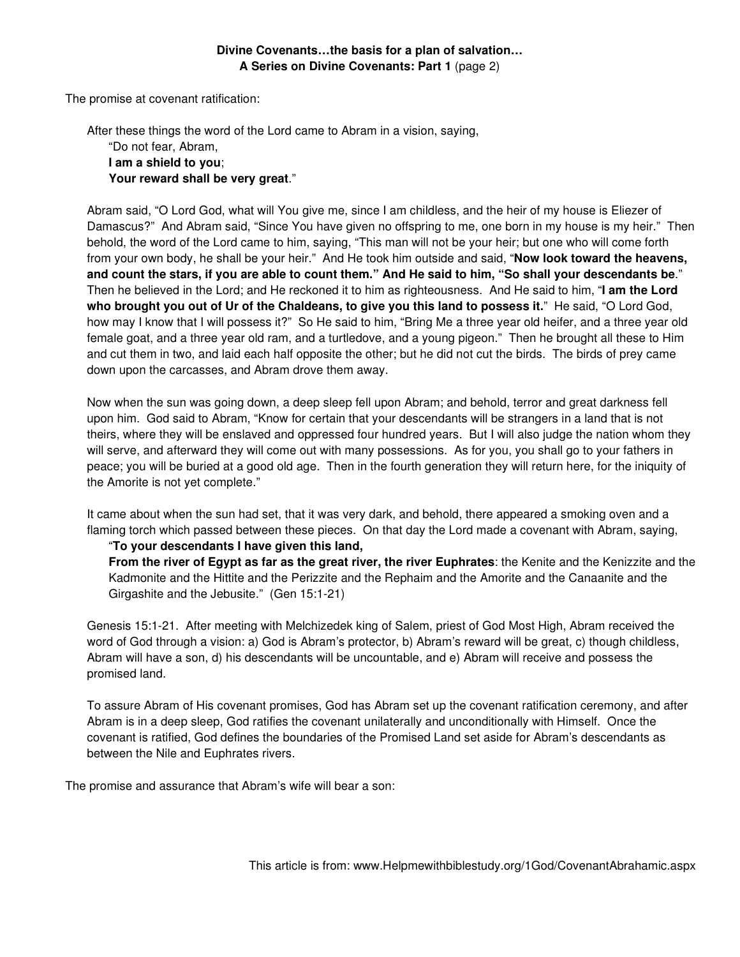## **Divine Covenants…the basis for a plan of salvation… A Series on Divine Covenants: Part 1** (page 2)

The promise at covenant ratification:

After these things the word of the Lord came to Abram in a vision, saying, "Do not fear, Abram, **I am a shield to you**; **Your reward shall be very great**."

Abram said, "O Lord God, what will You give me, since I am childless, and the heir of my house is Eliezer of Damascus?" And Abram said, "Since You have given no offspring to me, one born in my house is my heir." Then behold, the word of the Lord came to him, saying, "This man will not be your heir; but one who will come forth from your own body, he shall be your heir." And He took him outside and said, "**Now look toward the heavens, and count the stars, if you are able to count them." And He said to him, "So shall your descendants be**." Then he believed in the Lord; and He reckoned it to him as righteousness. And He said to him, "**I am the Lord who brought you out of Ur of the Chaldeans, to give you this land to possess it.**" He said, "O Lord God, how may I know that I will possess it?" So He said to him, "Bring Me a three year old heifer, and a three year old female goat, and a three year old ram, and a turtledove, and a young pigeon." Then he brought all these to Him and cut them in two, and laid each half opposite the other; but he did not cut the birds. The birds of prey came down upon the carcasses, and Abram drove them away.

Now when the sun was going down, a deep sleep fell upon Abram; and behold, terror and great darkness fell upon him. God said to Abram, "Know for certain that your descendants will be strangers in a land that is not theirs, where they will be enslaved and oppressed four hundred years. But I will also judge the nation whom they will serve, and afterward they will come out with many possessions. As for you, you shall go to your fathers in peace; you will be buried at a good old age. Then in the fourth generation they will return here, for the iniquity of the Amorite is not yet complete."

It came about when the sun had set, that it was very dark, and behold, there appeared a smoking oven and a flaming torch which passed between these pieces. On that day the Lord made a covenant with Abram, saying,

## "**To your descendants I have given this land,**

**From the river of Egypt as far as the great river, the river Euphrates**: the Kenite and the Kenizzite and the Kadmonite and the Hittite and the Perizzite and the Rephaim and the Amorite and the Canaanite and the Girgashite and the Jebusite." (Gen 15:1-21)

Genesis 15:1-21. After meeting with Melchizedek king of Salem, priest of God Most High, Abram received the word of God through a vision: a) God is Abram's protector, b) Abram's reward will be great, c) though childless, Abram will have a son, d) his descendants will be uncountable, and e) Abram will receive and possess the promised land.

To assure Abram of His covenant promises, God has Abram set up the covenant ratification ceremony, and after Abram is in a deep sleep, God ratifies the covenant unilaterally and unconditionally with Himself. Once the covenant is ratified, God defines the boundaries of the Promised Land set aside for Abram's descendants as between the Nile and Euphrates rivers.

The promise and assurance that Abram's wife will bear a son: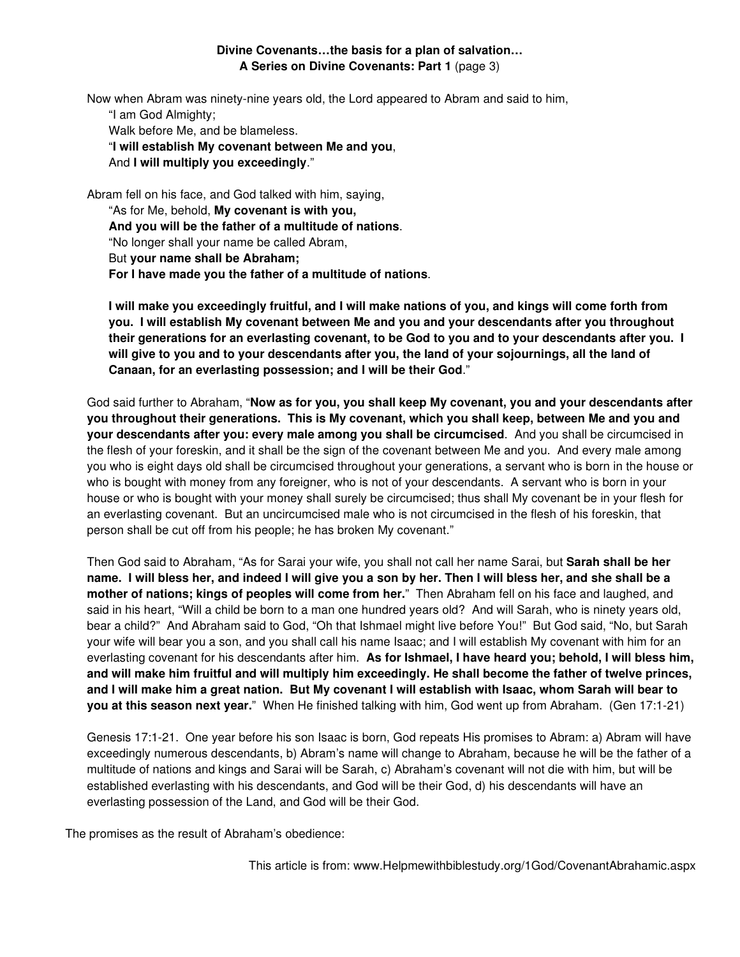## **Divine Covenants…the basis for a plan of salvation… A Series on Divine Covenants: Part 1** (page 3)

Now when Abram was ninety-nine years old, the Lord appeared to Abram and said to him,

"I am God Almighty; Walk before Me, and be blameless. "**I will establish My covenant between Me and you**, And **I will multiply you exceedingly**."

Abram fell on his face, and God talked with him, saying,

"As for Me, behold, **My covenant is with you, And you will be the father of a multitude of nations**. "No longer shall your name be called Abram, But **your name shall be Abraham; For I have made you the father of a multitude of nations**.

**I will make you exceedingly fruitful, and I will make nations of you, and kings will come forth from you. I will establish My covenant between Me and you and your descendants after you throughout their generations for an everlasting covenant, to be God to you and to your descendants after you. I will give to you and to your descendants after you, the land of your sojournings, all the land of Canaan, for an everlasting possession; and I will be their God**."

God said further to Abraham, "**Now as for you, you shall keep My covenant, you and your descendants after you throughout their generations. This is My covenant, which you shall keep, between Me and you and your descendants after you: every male among you shall be circumcised**. And you shall be circumcised in the flesh of your foreskin, and it shall be the sign of the covenant between Me and you. And every male among you who is eight days old shall be circumcised throughout your generations, a servant who is born in the house or who is bought with money from any foreigner, who is not of your descendants. A servant who is born in your house or who is bought with your money shall surely be circumcised; thus shall My covenant be in your flesh for an everlasting covenant. But an uncircumcised male who is not circumcised in the flesh of his foreskin, that person shall be cut off from his people; he has broken My covenant."

Then God said to Abraham, "As for Sarai your wife, you shall not call her name Sarai, but **Sarah shall be her name. I will bless her, and indeed I will give you a son by her. Then I will bless her, and she shall be a mother of nations; kings of peoples will come from her.**" Then Abraham fell on his face and laughed, and said in his heart, "Will a child be born to a man one hundred years old? And will Sarah, who is ninety years old, bear a child?" And Abraham said to God, "Oh that Ishmael might live before You!" But God said, "No, but Sarah your wife will bear you a son, and you shall call his name Isaac; and I will establish My covenant with him for an everlasting covenant for his descendants after him. **As for Ishmael, I have heard you; behold, I will bless him, and will make him fruitful and will multiply him exceedingly. He shall become the father of twelve princes, and I will make him a great nation. But My covenant I will establish with Isaac, whom Sarah will bear to you at this season next year.**" When He finished talking with him, God went up from Abraham. (Gen 17:1-21)

Genesis 17:1-21. One year before his son Isaac is born, God repeats His promises to Abram: a) Abram will have exceedingly numerous descendants, b) Abram's name will change to Abraham, because he will be the father of a multitude of nations and kings and Sarai will be Sarah, c) Abraham's covenant will not die with him, but will be established everlasting with his descendants, and God will be their God, d) his descendants will have an everlasting possession of the Land, and God will be their God.

The promises as the result of Abraham's obedience:

This article is from: www.Helpmewithbiblestudy.org/1God/CovenantAbrahamic.aspx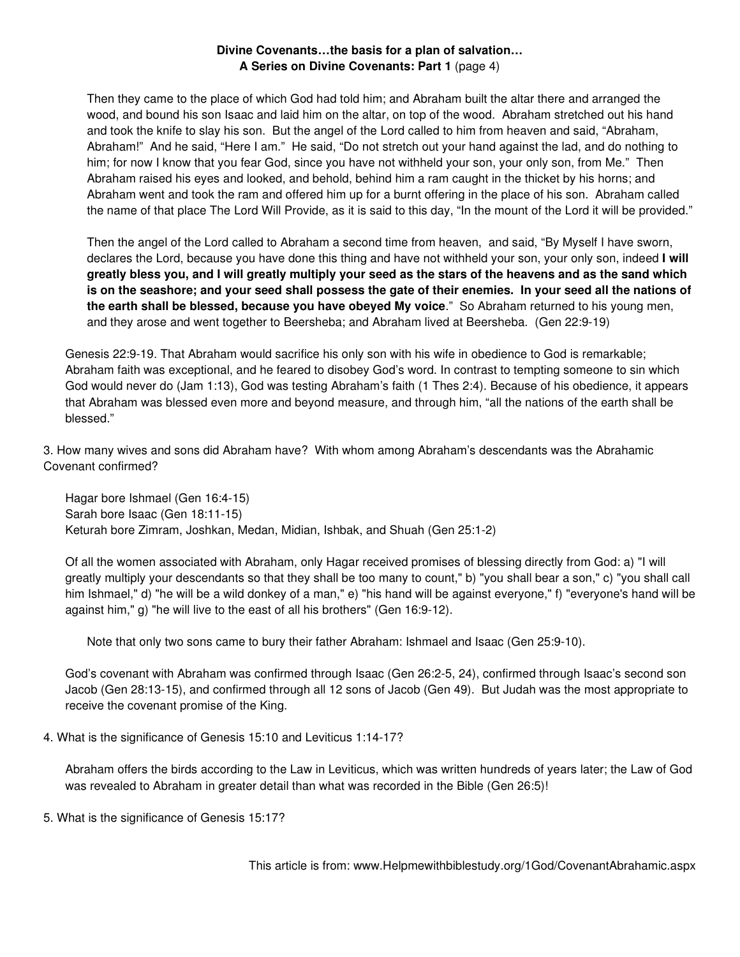# **Divine Covenants…the basis for a plan of salvation… A Series on Divine Covenants: Part 1** (page 4)

Then they came to the place of which God had told him; and Abraham built the altar there and arranged the wood, and bound his son Isaac and laid him on the altar, on top of the wood. Abraham stretched out his hand and took the knife to slay his son. But the angel of the Lord called to him from heaven and said, "Abraham, Abraham!" And he said, "Here I am." He said, "Do not stretch out your hand against the lad, and do nothing to him; for now I know that you fear God, since you have not withheld your son, your only son, from Me." Then Abraham raised his eyes and looked, and behold, behind him a ram caught in the thicket by his horns; and Abraham went and took the ram and offered him up for a burnt offering in the place of his son. Abraham called the name of that place The Lord Will Provide, as it is said to this day, "In the mount of the Lord it will be provided."

Then the angel of the Lord called to Abraham a second time from heaven, and said, "By Myself I have sworn, declares the Lord, because you have done this thing and have not withheld your son, your only son, indeed **I will greatly bless you, and I will greatly multiply your seed as the stars of the heavens and as the sand which is on the seashore; and your seed shall possess the gate of their enemies. In your seed all the nations of the earth shall be blessed, because you have obeyed My voice**." So Abraham returned to his young men, and they arose and went together to Beersheba; and Abraham lived at Beersheba. (Gen 22:9-19)

Genesis 22:9-19. That Abraham would sacrifice his only son with his wife in obedience to God is remarkable; Abraham faith was exceptional, and he feared to disobey God's word. In contrast to tempting someone to sin which God would never do (Jam 1:13), God was testing Abraham's faith (1 Thes 2:4). Because of his obedience, it appears that Abraham was blessed even more and beyond measure, and through him, "all the nations of the earth shall be blessed."

3. How many wives and sons did Abraham have? With whom among Abraham's descendants was the Abrahamic Covenant confirmed?

Hagar bore Ishmael (Gen 16:4-15) Sarah bore Isaac (Gen 18:11-15) Keturah bore Zimram, Joshkan, Medan, Midian, Ishbak, and Shuah (Gen 25:1-2)

Of all the women associated with Abraham, only Hagar received promises of blessing directly from God: a) "I will greatly multiply your descendants so that they shall be too many to count," b) "you shall bear a son," c) "you shall call him Ishmael," d) "he will be a wild donkey of a man," e) "his hand will be against everyone," f) "everyone's hand will be against him," g) "he will live to the east of all his brothers" (Gen 16:9-12).

Note that only two sons came to bury their father Abraham: Ishmael and Isaac (Gen 25:9-10).

God's covenant with Abraham was confirmed through Isaac (Gen 26:2-5, 24), confirmed through Isaac's second son Jacob (Gen 28:13-15), and confirmed through all 12 sons of Jacob (Gen 49). But Judah was the most appropriate to receive the covenant promise of the King.

4. What is the significance of Genesis 15:10 and Leviticus 1:14-17?

Abraham offers the birds according to the Law in Leviticus, which was written hundreds of years later; the Law of God was revealed to Abraham in greater detail than what was recorded in the Bible (Gen 26:5)!

5. What is the significance of Genesis 15:17?

This article is from: www.Helpmewithbiblestudy.org/1God/CovenantAbrahamic.aspx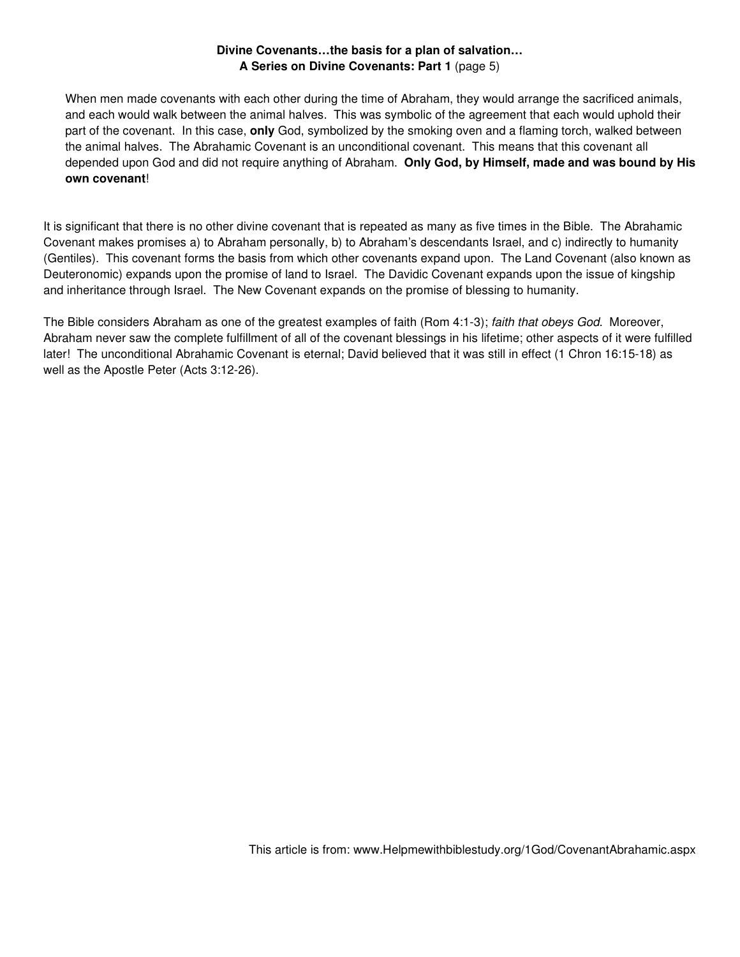# **Divine Covenants…the basis for a plan of salvation… A Series on Divine Covenants: Part 1** (page 5)

When men made covenants with each other during the time of Abraham, they would arrange the sacrificed animals, and each would walk between the animal halves. This was symbolic of the agreement that each would uphold their part of the covenant. In this case, **only** God, symbolized by the smoking oven and a flaming torch, walked between the animal halves. The Abrahamic Covenant is an unconditional covenant. This means that this covenant all depended upon God and did not require anything of Abraham. **Only God, by Himself, made and was bound by His own covenant**!

It is significant that there is no other divine covenant that is repeated as many as five times in the Bible. The Abrahamic Covenant makes promises a) to Abraham personally, b) to Abraham's descendants Israel, and c) indirectly to humanity (Gentiles). This covenant forms the basis from which other covenants expand upon. The Land Covenant (also known as Deuteronomic) expands upon the promise of land to Israel. The Davidic Covenant expands upon the issue of kingship and inheritance through Israel. The New Covenant expands on the promise of blessing to humanity.

The Bible considers Abraham as one of the greatest examples of faith (Rom 4:1-3); faith that obeys God. Moreover, Abraham never saw the complete fulfillment of all of the covenant blessings in his lifetime; other aspects of it were fulfilled later! The unconditional Abrahamic Covenant is eternal; David believed that it was still in effect (1 Chron 16:15-18) as well as the Apostle Peter (Acts 3:12-26).